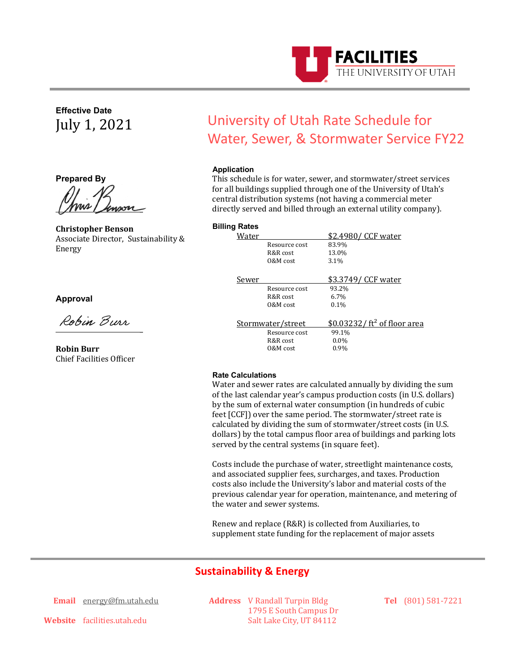

**Effective Date** July 1, 2021

**Prepared By**

<u>INNE Ampon</u>

**Christopher Benson** Associate Director, Sustainability & Energy

# **Approval**

Robin Burr \_

**Robin Burr** Chief Facilities Officer

# University of Utah Rate Schedule for Water, Sewer, & Stormwater Service FY22

# **Application**

This schedule is for water, sewer, and stormwater/street services for all buildings supplied through one of the University of Utah's central distribution systems (not having a commercial meter directly served and billed through an external utility company).

#### **Billing Rates**

| Water             |               | \$2.4980/ CCF water           |
|-------------------|---------------|-------------------------------|
|                   | Resource cost | 83.9%                         |
|                   | R&R cost      | 13.0%                         |
|                   | 0&M cost      | 3.1%                          |
| Sewer             |               | \$3.3749/ CCF water           |
|                   | Resource cost | 93.2%                         |
|                   | R&R cost      | 6.7%                          |
|                   | 0&M cost      | $0.1\%$                       |
|                   |               |                               |
| Stormwater/street |               | $$0.03232/ft^2$ of floor area |
|                   | Resource cost | 99.1%                         |
|                   | R&R cost      | $0.0\%$                       |
|                   | 0&M cost      | $0.9\%$                       |
|                   |               |                               |

#### **Rate Calculations**

Water and sewer rates are calculated annually by dividing the sum of the last calendar year's campus production costs (in U.S. dollars) by the sum of external water consumption (in hundreds of cubic feet [CCF]) over the same period. The stormwater/street rate is calculated by dividing the sum of stormwater/street costs (in U.S. dollars) by the total campus floor area of buildings and parking lots served by the central systems (in square feet).

Costs include the purchase of water, streetlight maintenance costs, and associated supplier fees, surcharges, and taxes. Production costs also include the University's labor and material costs of the previous calendar year for operation, maintenance, and metering of the water and sewer systems.

Renew and replace (R&R) is collected from Auxiliaries, to supplement state funding for the replacement of major assets

# **Sustainability & Energy**

**Email** [energy@fm.utah.edu](mailto:energy@fm.utah.edu)

**Address** V Randall Turpin Bldg 1795 E South Campus Dr Salt Lake City, UT 84112

**Tel** (801) 581-7221

**Website** facilities.utah.edu